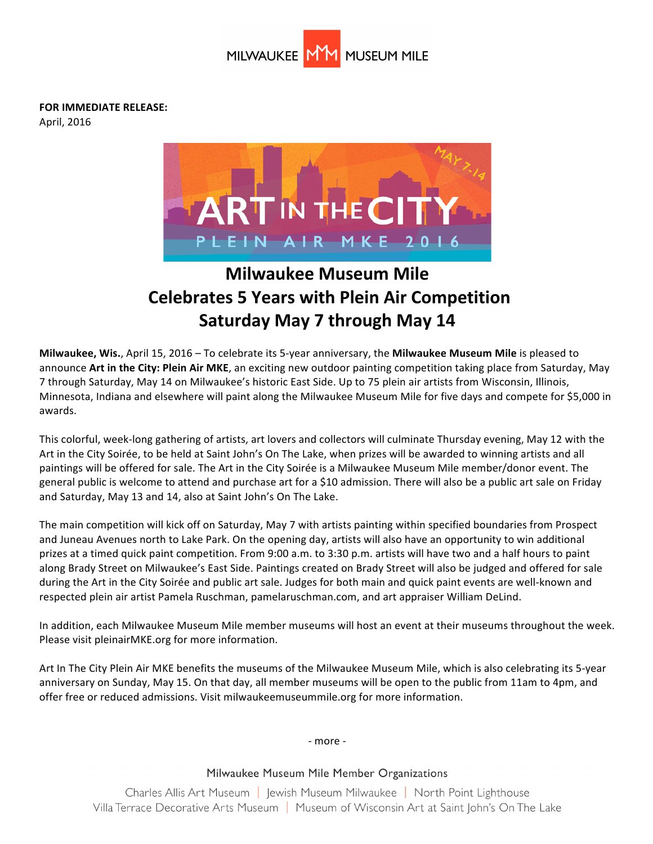

**FOR IMMEDIATE RELEASE:** 

April, 2016



# **Milwaukee Museum Mile Celebrates 5 Years with Plein Air Competition Saturday May 7 through May 14**

**Milwaukee, Wis.**, April 15, 2016 – To celebrate its 5-year anniversary, the **Milwaukee Museum Mile** is pleased to announce Art in the City: Plein Air MKE, an exciting new outdoor painting competition taking place from Saturday, May 7 through Saturday, May 14 on Milwaukee's historic East Side. Up to 75 plein air artists from Wisconsin, Illinois, Minnesota, Indiana and elsewhere will paint along the Milwaukee Museum Mile for five days and compete for \$5,000 in awards.

This colorful, week-long gathering of artists, art lovers and collectors will culminate Thursday evening, May 12 with the Art in the City Soirée, to be held at Saint John's On The Lake, when prizes will be awarded to winning artists and all paintings will be offered for sale. The Art in the City Soirée is a Milwaukee Museum Mile member/donor event. The general public is welcome to attend and purchase art for a \$10 admission. There will also be a public art sale on Friday and Saturday, May 13 and 14, also at Saint John's On The Lake.

The main competition will kick off on Saturday, May 7 with artists painting within specified boundaries from Prospect and Juneau Avenues north to Lake Park. On the opening day, artists will also have an opportunity to win additional prizes at a timed quick paint competition. From 9:00 a.m. to 3:30 p.m. artists will have two and a half hours to paint along Brady Street on Milwaukee's East Side. Paintings created on Brady Street will also be judged and offered for sale during the Art in the City Soirée and public art sale. Judges for both main and quick paint events are well-known and respected plein air artist Pamela Ruschman, pamelaruschman.com, and art appraiser William DeLind.

In addition, each Milwaukee Museum Mile member museums will host an event at their museums throughout the week. Please visit pleinairMKE.org for more information.

Art In The City Plein Air MKE benefits the museums of the Milwaukee Museum Mile, which is also celebrating its 5-year anniversary on Sunday, May 15. On that day, all member museums will be open to the public from 11am to 4pm, and offer free or reduced admissions. Visit milwaukeemuseummile.org for more information.

- more -

## Milwaukee Museum Mile Member Organizations

Charles Allis Art Museum | lewish Museum Milwaukee | North Point Lighthouse Villa Terrace Decorative Arts Museum | Museum of Wisconsin Art at Saint John's On The Lake